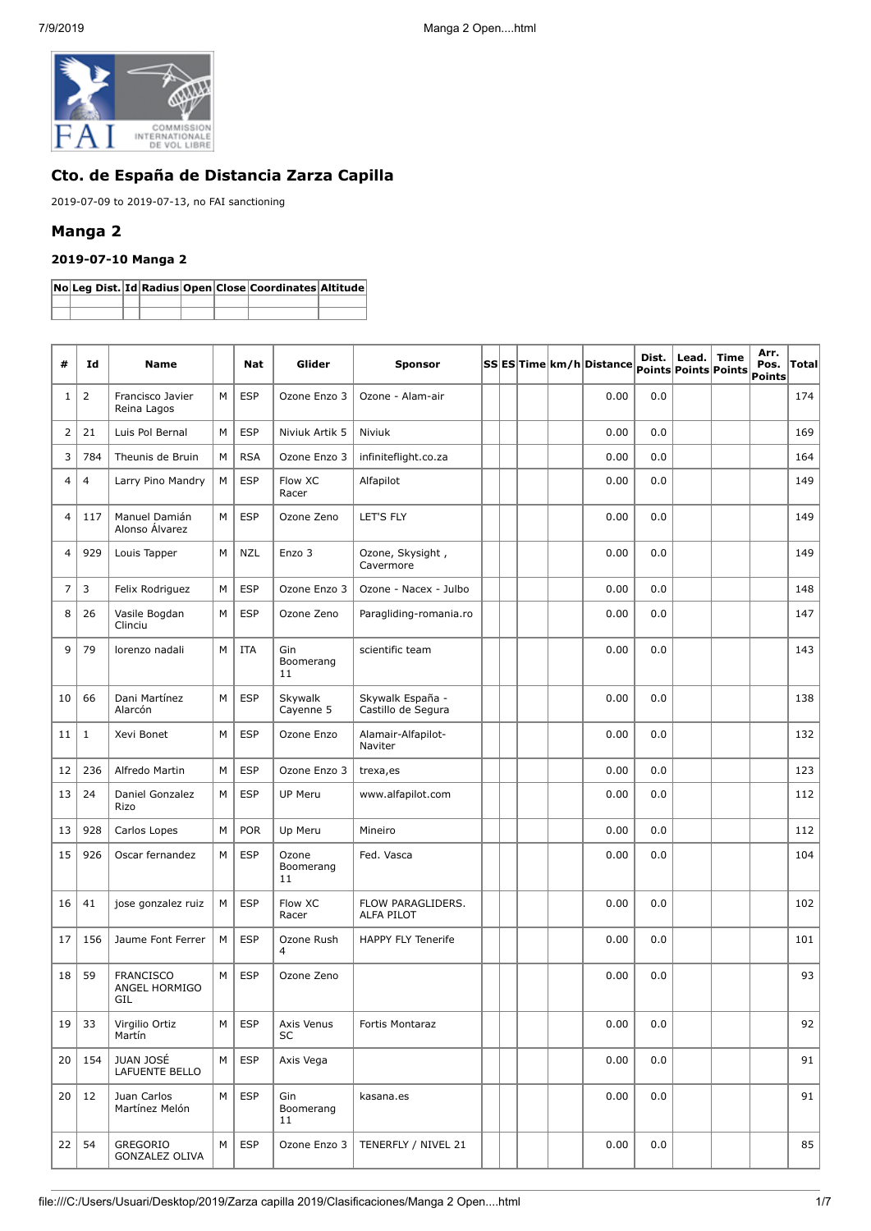

# **Cto. de España de Distancia Zarza Capilla**

2019-07-09 to 2019-07-13, no FAI sanctioning

## **Manga 2**

## **2019-07-10 Manga 2**

|  |  |  | No Leg Dist. Id Radius Open Close Coordinates Altitude |  |
|--|--|--|--------------------------------------------------------|--|
|  |  |  |                                                        |  |
|  |  |  |                                                        |  |

| #              | Id             | <b>Name</b>                              |   | <b>Nat</b> | Glider                   | <b>Sponsor</b>                         |  |  | SS ES Time km/h Distance | Dist. | Lead.<br>Points Points Points | <b>Time</b> | Arr.<br>Pos.<br><b>Points</b> | Total |
|----------------|----------------|------------------------------------------|---|------------|--------------------------|----------------------------------------|--|--|--------------------------|-------|-------------------------------|-------------|-------------------------------|-------|
| 1              | $\overline{2}$ | Francisco Javier<br>Reina Lagos          | M | <b>ESP</b> | Ozone Enzo 3             | Ozone - Alam-air                       |  |  | 0.00                     | 0.0   |                               |             |                               | 174   |
| 2              | 21             | Luis Pol Bernal                          | M | <b>ESP</b> | Niviuk Artik 5           | <b>Niviuk</b>                          |  |  | 0.00                     | 0.0   |                               |             |                               | 169   |
| 3              | 784            | Theunis de Bruin                         | M | <b>RSA</b> | Ozone Enzo 3             | infiniteflight.co.za                   |  |  | 0.00                     | 0.0   |                               |             |                               | 164   |
| $\overline{4}$ | $\overline{4}$ | Larry Pino Mandry                        | M | <b>ESP</b> | Flow XC<br>Racer         | Alfapilot                              |  |  | 0.00                     | 0.0   |                               |             |                               | 149   |
| $\overline{4}$ | 117            | Manuel Damián<br>Alonso Álvarez          | M | <b>ESP</b> | Ozone Zeno               | LET'S FLY                              |  |  | 0.00                     | 0.0   |                               |             |                               | 149   |
| 4              | 929            | Louis Tapper                             | M | <b>NZL</b> | Enzo 3                   | Ozone, Skysight,<br>Cavermore          |  |  | 0.00                     | 0.0   |                               |             |                               | 149   |
| $\overline{7}$ | 3              | Felix Rodriguez                          | М | <b>ESP</b> | Ozone Enzo 3             | Ozone - Nacex - Julbo                  |  |  | 0.00                     | 0.0   |                               |             |                               | 148   |
| 8              | 26             | Vasile Bogdan<br>Clinciu                 | М | <b>ESP</b> | Ozone Zeno               | Paragliding-romania.ro                 |  |  | 0.00                     | 0.0   |                               |             |                               | 147   |
| 9              | 79             | lorenzo nadali                           | M | <b>ITA</b> | Gin<br>Boomerang<br>11   | scientific team                        |  |  | 0.00                     | 0.0   |                               |             |                               | 143   |
| 10             | 66             | Dani Martínez<br>Alarcón                 | M | <b>ESP</b> | Skywalk<br>Cayenne 5     | Skywalk España -<br>Castillo de Segura |  |  | 0.00                     | 0.0   |                               |             |                               | 138   |
| 11             | $1\,$          | Xevi Bonet                               | M | <b>ESP</b> | Ozone Enzo               | Alamair-Alfapilot-<br>Naviter          |  |  | 0.00                     | 0.0   |                               |             |                               | 132   |
| 12             | 236            | Alfredo Martin                           | M | <b>ESP</b> | Ozone Enzo 3             | trexa, es                              |  |  | 0.00                     | 0.0   |                               |             |                               | 123   |
| 13             | 24             | Daniel Gonzalez<br>Rizo                  | M | <b>ESP</b> | <b>UP Meru</b>           | www.alfapilot.com                      |  |  | 0.00                     | 0.0   |                               |             |                               | 112   |
| 13             | 928            | Carlos Lopes                             | М | <b>POR</b> | Up Meru                  | Mineiro                                |  |  | 0.00                     | 0.0   |                               |             |                               | 112   |
| 15             | 926            | Oscar fernandez                          | M | <b>ESP</b> | Ozone<br>Boomerang<br>11 | Fed. Vasca                             |  |  | 0.00                     | 0.0   |                               |             |                               | 104   |
| 16             | 41             | jose gonzalez ruiz                       | М | <b>ESP</b> | Flow XC<br>Racer         | FLOW PARAGLIDERS.<br>ALFA PILOT        |  |  | 0.00                     | 0.0   |                               |             |                               | 102   |
| 17             | 156            | Jaume Font Ferrer                        | M | ESP        | Ozone Rush<br>4          | <b>HAPPY FLY Tenerife</b>              |  |  | 0.00                     | 0.0   |                               |             |                               | 101   |
| 18             | 59             | <b>FRANCISCO</b><br>ANGEL HORMIGO<br>GIL | M | <b>ESP</b> | Ozone Zeno               |                                        |  |  | 0.00                     | 0.0   |                               |             |                               | 93    |
| 19             | 33             | Virgilio Ortiz<br>Martín                 | М | <b>ESP</b> | Axis Venus<br>SC         | Fortis Montaraz                        |  |  | 0.00                     | 0.0   |                               |             |                               | 92    |
| 20             | 154            | <b>JUAN JOSÉ</b><br>LAFUENTE BELLO       | М | <b>ESP</b> | Axis Vega                |                                        |  |  | 0.00                     | 0.0   |                               |             |                               | 91    |
| 20             | 12             | Juan Carlos<br>Martínez Melón            | М | <b>ESP</b> | Gin<br>Boomerang<br>11   | kasana.es                              |  |  | 0.00                     | 0.0   |                               |             |                               | 91    |
| 22             | 54             | GREGORIO<br><b>GONZALEZ OLIVA</b>        | M | <b>ESP</b> | Ozone Enzo 3             | TENERFLY / NIVEL 21                    |  |  | 0.00                     | 0.0   |                               |             |                               | 85    |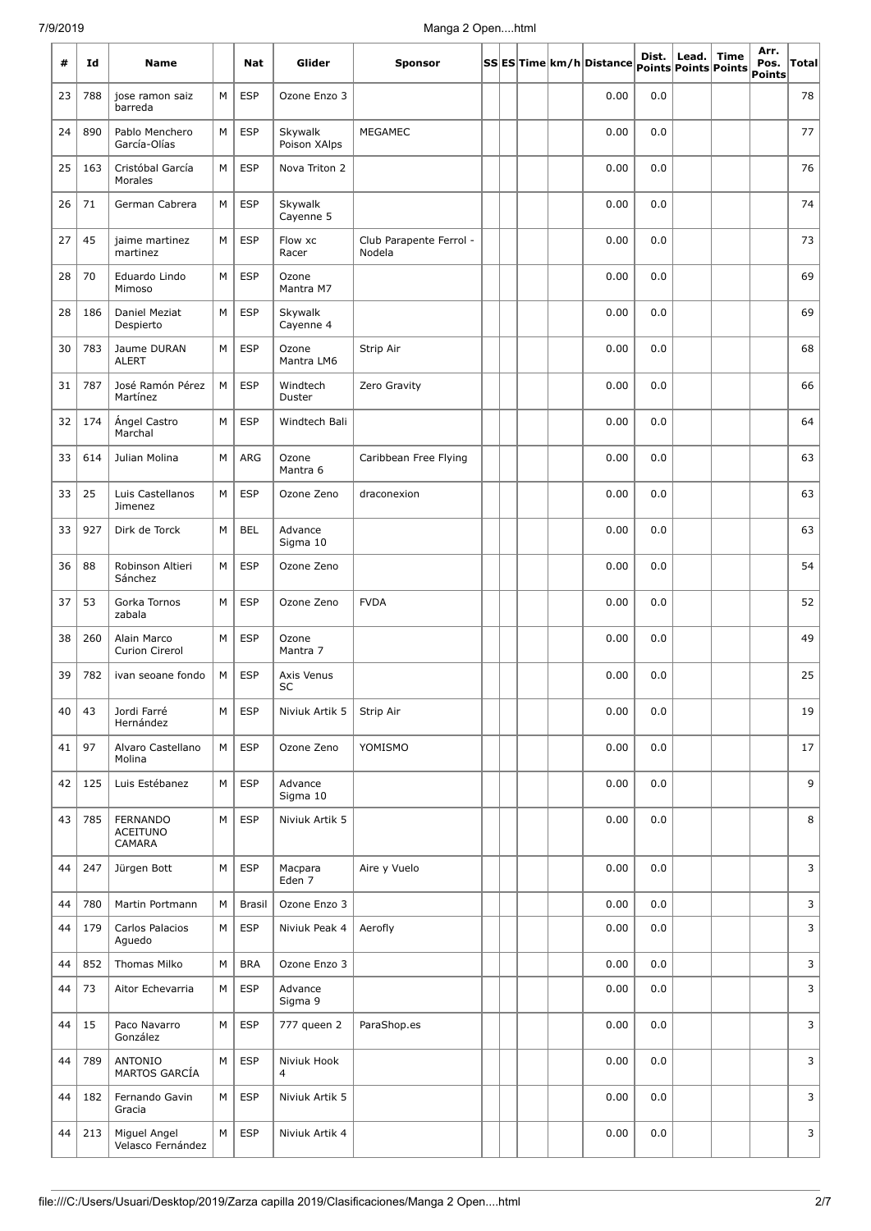| #  | Id  | Name                                         |   | Nat           | Glider                        | <b>Sponsor</b>                    |  |  | SS  ES  Time  km/h  Distance  points  points  points | Dist. | Lead. | <b>Time</b> | Arr.<br>Pos.<br>Points | Total |
|----|-----|----------------------------------------------|---|---------------|-------------------------------|-----------------------------------|--|--|------------------------------------------------------|-------|-------|-------------|------------------------|-------|
| 23 | 788 | jose ramon saiz<br>barreda                   | M | <b>ESP</b>    | Ozone Enzo 3                  |                                   |  |  | 0.00                                                 | 0.0   |       |             |                        | 78    |
| 24 | 890 | Pablo Menchero<br>García-Olías               | M | <b>ESP</b>    | Skywalk<br>Poison XAlps       | MEGAMEC                           |  |  | 0.00                                                 | 0.0   |       |             |                        | 77    |
| 25 | 163 | Cristóbal García<br>Morales                  | M | <b>ESP</b>    | Nova Triton 2                 |                                   |  |  | 0.00                                                 | 0.0   |       |             |                        | 76    |
| 26 | 71  | German Cabrera                               | M | <b>ESP</b>    | Skywalk<br>Cayenne 5          |                                   |  |  | 0.00                                                 | 0.0   |       |             |                        | 74    |
| 27 | 45  | jaime martinez<br>martinez                   | М | <b>ESP</b>    | Flow xc<br>Racer              | Club Parapente Ferrol -<br>Nodela |  |  | 0.00                                                 | 0.0   |       |             |                        | 73    |
| 28 | 70  | Eduardo Lindo<br>Mimoso                      | М | <b>ESP</b>    | Ozone<br>Mantra M7            |                                   |  |  | 0.00                                                 | 0.0   |       |             |                        | 69    |
| 28 | 186 | Daniel Meziat<br>Despierto                   | М | <b>ESP</b>    | Skywalk<br>Cayenne 4          |                                   |  |  | 0.00                                                 | 0.0   |       |             |                        | 69    |
| 30 | 783 | Jaume DURAN<br><b>ALERT</b>                  | M | <b>ESP</b>    | Ozone<br>Mantra LM6           | Strip Air                         |  |  | 0.00                                                 | 0.0   |       |             |                        | 68    |
| 31 | 787 | José Ramón Pérez<br>Martínez                 | M | <b>ESP</b>    | Windtech<br>Duster            | Zero Gravity                      |  |  | 0.00                                                 | 0.0   |       |             |                        | 66    |
| 32 | 174 | Ángel Castro<br>Marchal                      | M | <b>ESP</b>    | Windtech Bali                 |                                   |  |  | 0.00                                                 | 0.0   |       |             |                        | 64    |
| 33 | 614 | Julian Molina                                | M | <b>ARG</b>    | Ozone<br>Mantra 6             | Caribbean Free Flying             |  |  | 0.00                                                 | 0.0   |       |             |                        | 63    |
| 33 | 25  | Luis Castellanos<br>Jimenez                  | M | <b>ESP</b>    | Ozone Zeno                    | draconexion                       |  |  | 0.00                                                 | 0.0   |       |             |                        | 63    |
| 33 | 927 | Dirk de Torck                                | M | <b>BEL</b>    | Advance<br>Sigma 10           |                                   |  |  | 0.00                                                 | 0.0   |       |             |                        | 63    |
| 36 | 88  | Robinson Altieri<br>Sánchez                  | M | <b>ESP</b>    | Ozone Zeno                    |                                   |  |  | 0.00                                                 | 0.0   |       |             |                        | 54    |
| 37 | 53  | Gorka Tornos<br>zabala                       | M | <b>ESP</b>    | Ozone Zeno                    | <b>FVDA</b>                       |  |  | 0.00                                                 | 0.0   |       |             |                        | 52    |
| 38 | 260 | Alain Marco<br>Curion Cirerol                | M | <b>ESP</b>    | Ozone<br>Mantra 7             |                                   |  |  | 0.00                                                 | 0.0   |       |             |                        | 49    |
| 39 | 782 | ivan seoane fondo                            | М | <b>ESP</b>    | Axis Venus<br>SC              |                                   |  |  | 0.00                                                 | 0.0   |       |             |                        | 25    |
| 40 | 43  | Jordi Farré<br>Hernández                     | M | <b>ESP</b>    | Niviuk Artik 5                | Strip Air                         |  |  | 0.00                                                 | 0.0   |       |             |                        | 19    |
| 41 | 97  | Alvaro Castellano<br>Molina                  | М | <b>ESP</b>    | Ozone Zeno                    | YOMISMO                           |  |  | 0.00                                                 | 0.0   |       |             |                        | 17    |
| 42 | 125 | Luis Estébanez                               | М | <b>ESP</b>    | Advance<br>Sigma 10           |                                   |  |  | 0.00                                                 | 0.0   |       |             |                        | 9     |
| 43 | 785 | <b>FERNANDO</b><br><b>ACEITUNO</b><br>CAMARA | М | <b>ESP</b>    | Niviuk Artik 5                |                                   |  |  | 0.00                                                 | 0.0   |       |             |                        | 8     |
| 44 | 247 | Jürgen Bott                                  | М | <b>ESP</b>    | Macpara<br>Eden 7             | Aire y Vuelo                      |  |  | 0.00                                                 | 0.0   |       |             |                        | 3     |
| 44 | 780 | Martin Portmann                              | M | <b>Brasil</b> | Ozone Enzo 3                  |                                   |  |  | 0.00                                                 | 0.0   |       |             |                        | 3     |
| 44 | 179 | Carlos Palacios<br>Aguedo                    | М | <b>ESP</b>    | Niviuk Peak 4                 | Aerofly                           |  |  | 0.00                                                 | 0.0   |       |             |                        | 3     |
| 44 | 852 | Thomas Milko                                 | М | <b>BRA</b>    | Ozone Enzo 3                  |                                   |  |  | 0.00                                                 | 0.0   |       |             |                        | 3     |
| 44 | 73  | Aitor Echevarria                             | М | <b>ESP</b>    | Advance<br>Sigma 9            |                                   |  |  | 0.00                                                 | 0.0   |       |             |                        | 3     |
| 44 | 15  | Paco Navarro<br>González                     | M | <b>ESP</b>    | 777 queen 2                   | ParaShop.es                       |  |  | 0.00                                                 | 0.0   |       |             |                        | 3     |
| 44 | 789 | <b>ANTONIO</b><br>MARTOS GARCÍA              | М | <b>ESP</b>    | Niviuk Hook<br>$\overline{4}$ |                                   |  |  | 0.00                                                 | 0.0   |       |             |                        | 3     |
| 44 | 182 | Fernando Gavin<br>Gracia                     | М | <b>ESP</b>    | Niviuk Artik 5                |                                   |  |  | 0.00                                                 | 0.0   |       |             |                        | 3     |
| 44 | 213 | Miguel Angel<br>Velasco Fernández            | М | <b>ESP</b>    | Niviuk Artik 4                |                                   |  |  | 0.00                                                 | 0.0   |       |             |                        | 3     |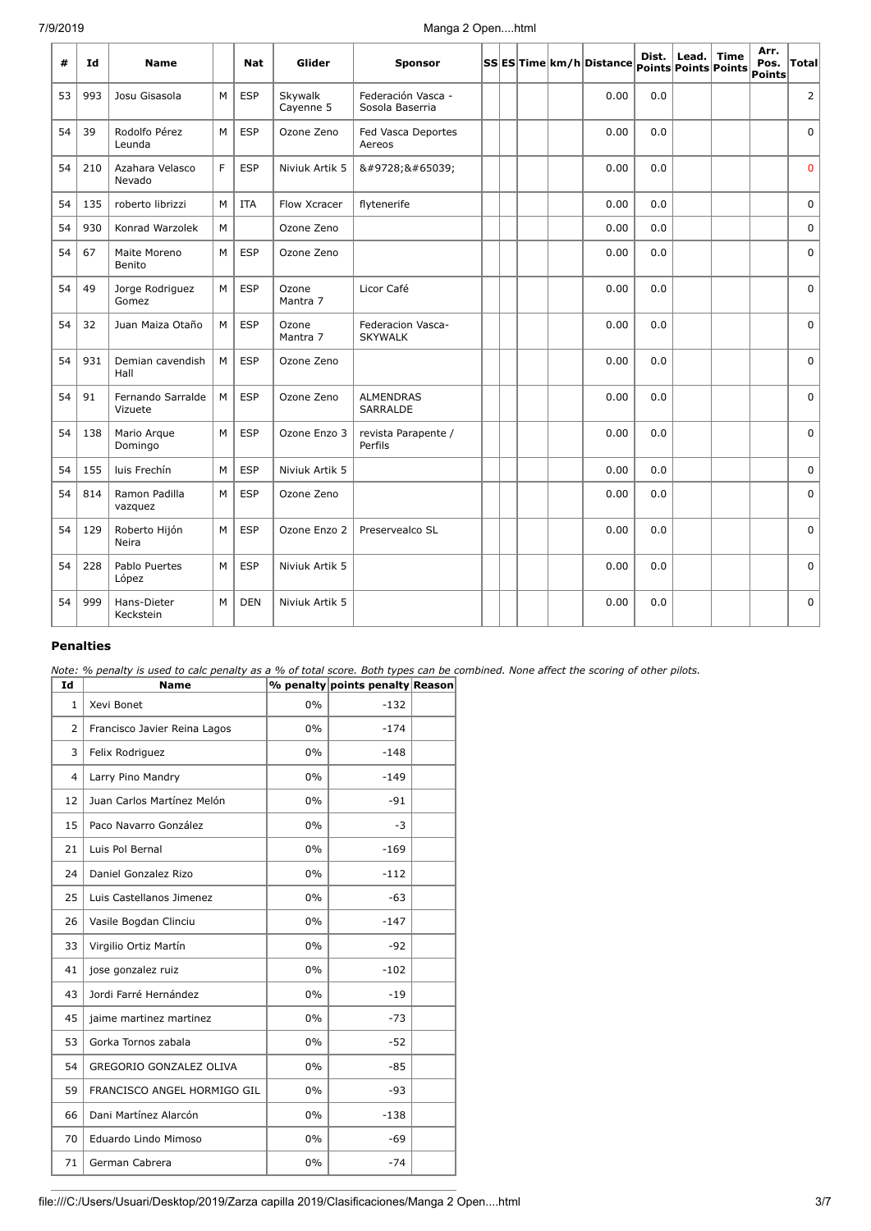| #  | Ιd  | <b>Name</b>                  |   | <b>Nat</b> | Glider               | Sponsor                               |  |  | SSES Time km/h Distance points Points Points |     | Dist. Lead. | Time | Arr.<br>Pos.<br>Points | <b>Total</b> |
|----|-----|------------------------------|---|------------|----------------------|---------------------------------------|--|--|----------------------------------------------|-----|-------------|------|------------------------|--------------|
| 53 | 993 | Josu Gisasola                | M | <b>ESP</b> | Skywalk<br>Cayenne 5 | Federación Vasca -<br>Sosola Baserria |  |  | 0.00                                         | 0.0 |             |      |                        | 2            |
| 54 | 39  | Rodolfo Pérez<br>Leunda      | M | <b>ESP</b> | Ozone Zeno           | Fed Vasca Deportes<br>Aereos          |  |  | 0.00                                         | 0.0 |             |      |                        | $\Omega$     |
| 54 | 210 | Azahara Velasco<br>Nevado    | F | <b>ESP</b> | Niviuk Artik 5       | ☀️                                    |  |  | 0.00                                         | 0.0 |             |      |                        | $\mathbf 0$  |
| 54 | 135 | roberto librizzi             | M | <b>ITA</b> | Flow Xcracer         | flytenerife                           |  |  | 0.00                                         | 0.0 |             |      |                        | $\mathbf 0$  |
| 54 | 930 | Konrad Warzolek              | M |            | Ozone Zeno           |                                       |  |  | 0.00                                         | 0.0 |             |      |                        | 0            |
| 54 | 67  | Maite Moreno<br>Benito       | M | <b>ESP</b> | Ozone Zeno           |                                       |  |  | 0.00                                         | 0.0 |             |      |                        | $\mathbf 0$  |
| 54 | 49  | Jorge Rodriguez<br>Gomez     | M | <b>ESP</b> | Ozone<br>Mantra 7    | Licor Café                            |  |  | 0.00                                         | 0.0 |             |      |                        | $\Omega$     |
| 54 | 32  | Juan Maiza Otaño             | M | <b>ESP</b> | Ozone<br>Mantra 7    | Federacion Vasca-<br><b>SKYWALK</b>   |  |  | 0.00                                         | 0.0 |             |      |                        | $\mathbf 0$  |
| 54 | 931 | Demian cavendish<br>Hall     | M | <b>ESP</b> | Ozone Zeno           |                                       |  |  | 0.00                                         | 0.0 |             |      |                        | $\mathbf 0$  |
| 54 | 91  | Fernando Sarralde<br>Vizuete | M | <b>ESP</b> | Ozone Zeno           | <b>ALMENDRAS</b><br>SARRALDE          |  |  | 0.00                                         | 0.0 |             |      |                        | $\Omega$     |
| 54 | 138 | Mario Arque<br>Domingo       | M | <b>ESP</b> | Ozone Enzo 3         | revista Parapente /<br>Perfils        |  |  | 0.00                                         | 0.0 |             |      |                        | $\mathbf 0$  |
| 54 | 155 | luis Frechín                 | M | <b>ESP</b> | Niviuk Artik 5       |                                       |  |  | 0.00                                         | 0.0 |             |      |                        | $\mathbf 0$  |
| 54 | 814 | Ramon Padilla<br>vazquez     | M | <b>ESP</b> | Ozone Zeno           |                                       |  |  | 0.00                                         | 0.0 |             |      |                        | $\Omega$     |
| 54 | 129 | Roberto Hijón<br>Neira       | M | <b>ESP</b> | Ozone Enzo 2         | Preservealco SL                       |  |  | 0.00                                         | 0.0 |             |      |                        | $\mathbf 0$  |
| 54 | 228 | Pablo Puertes<br>López       | M | <b>ESP</b> | Niviuk Artik 5       |                                       |  |  | 0.00                                         | 0.0 |             |      |                        | $\mathbf 0$  |
| 54 | 999 | Hans-Dieter<br>Keckstein     | M | <b>DEN</b> | Niviuk Artik 5       |                                       |  |  | 0.00                                         | 0.0 |             |      |                        | $\mathbf 0$  |

#### **Penalties**

*Note: % penalty is used to calc penalty as a % of total score. Both types can be combined. None affect the scoring of other pilots.*

| Id             | <b>Name</b>                  |       | % penalty points penalty Reason |  |
|----------------|------------------------------|-------|---------------------------------|--|
| 1              | Xevi Bonet                   | 0%    | $-132$                          |  |
| $\overline{2}$ | Francisco Javier Reina Lagos | $0\%$ | $-174$                          |  |
| 3              | Felix Rodriguez              | $0\%$ | $-148$                          |  |
| 4              | Larry Pino Mandry            | 0%    | $-149$                          |  |
| 12             | Juan Carlos Martínez Melón   | $0\%$ | $-91$                           |  |
| 15             | Paco Navarro González        | $0\%$ | $-3$                            |  |
| 21             | Luis Pol Bernal              | $0\%$ | $-169$                          |  |
| 24             | Daniel Gonzalez Rizo         | $0\%$ | $-112$                          |  |
| 25             | Luis Castellanos Jimenez     | 0%    | $-63$                           |  |
| 26             | Vasile Bogdan Clinciu        | 0%    | $-147$                          |  |
| 33             | Virgilio Ortiz Martín        | $0\%$ | $-92$                           |  |
| 41             | jose gonzalez ruiz           | 0%    | $-102$                          |  |
| 43             | Jordi Farré Hernández        | $0\%$ | $-19$                           |  |
| 45             | jaime martinez martinez      | $0\%$ | $-73$                           |  |
| 53             | Gorka Tornos zabala          | $0\%$ | $-52$                           |  |
| 54             | GREGORIO GONZALEZ OLIVA      | $0\%$ | $-85$                           |  |
| 59             | FRANCISCO ANGEL HORMIGO GIL  | $0\%$ | $-93$                           |  |
| 66             | Dani Martínez Alarcón        | 0%    | $-138$                          |  |
| 70             | Eduardo Lindo Mimoso         | $0\%$ | $-69$                           |  |
| 71             | German Cabrera               | $0\%$ | $-74$                           |  |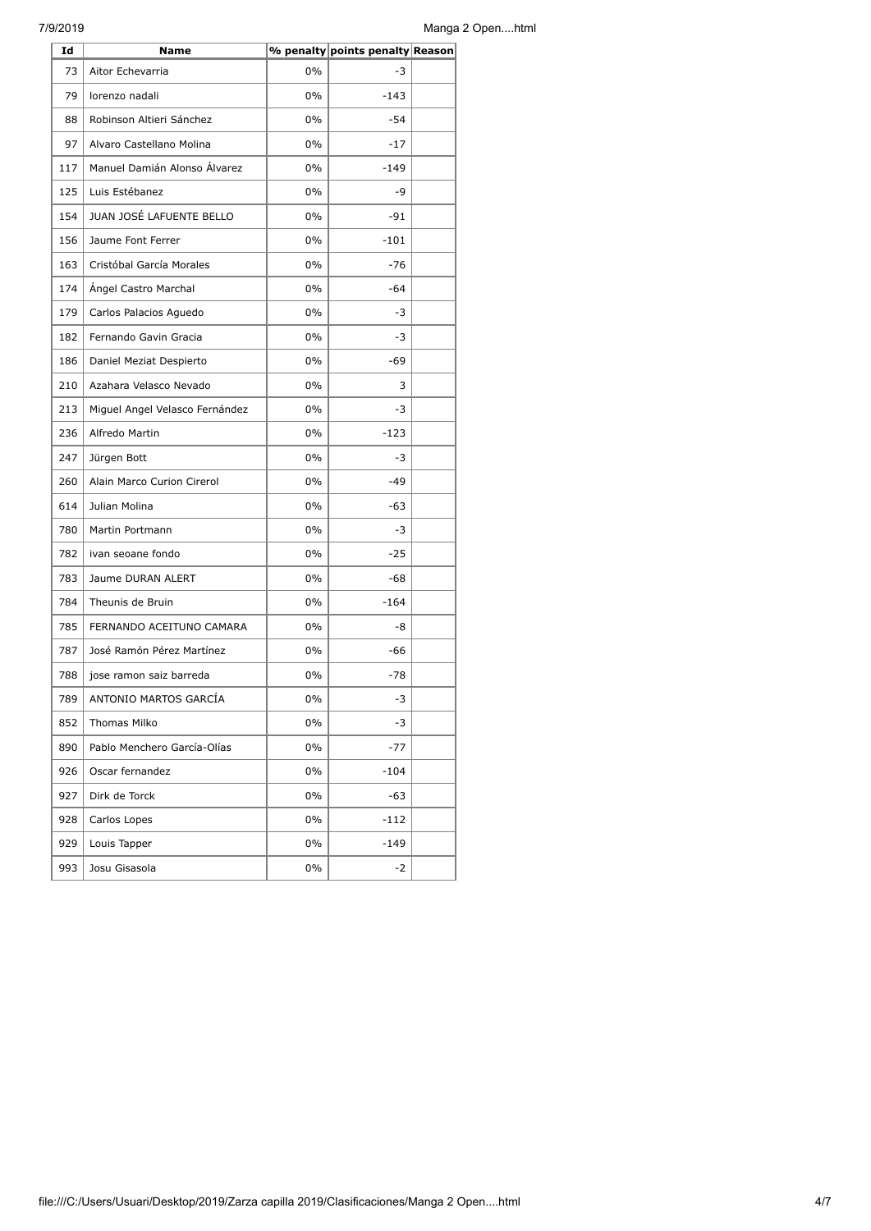| Id  | Name                           |       | % penalty points penalty Reason |  |
|-----|--------------------------------|-------|---------------------------------|--|
| 73  | Aitor Echevarria               | $0\%$ | -3                              |  |
| 79  | lorenzo nadali                 | $0\%$ | $-143$                          |  |
| 88  | Robinson Altieri Sánchez       | $0\%$ | -54                             |  |
| 97  | Alvaro Castellano Molina       | $0\%$ | $-17$                           |  |
| 117 | Manuel Damián Alonso Álvarez   | $0\%$ | $-149$                          |  |
| 125 | Luis Estébanez                 | $0\%$ | -9                              |  |
| 154 | JUAN JOSÉ LAFUENTE BELLO       | $0\%$ | $-91$                           |  |
| 156 | Jaume Font Ferrer              | $0\%$ | $-101$                          |  |
| 163 | Cristóbal García Morales       | $0\%$ | $-76$                           |  |
| 174 | Ángel Castro Marchal           | $0\%$ | $-64$                           |  |
| 179 | Carlos Palacios Aguedo         | $0\%$ | -3                              |  |
| 182 | Fernando Gavin Gracia          | $0\%$ | -3                              |  |
| 186 | Daniel Meziat Despierto        | $0\%$ | -69                             |  |
| 210 | Azahara Velasco Nevado         | $0\%$ | 3                               |  |
| 213 | Miguel Angel Velasco Fernández | $0\%$ | -3                              |  |
| 236 | Alfredo Martin                 | $0\%$ | $-123$                          |  |
| 247 | Jürgen Bott                    | $0\%$ | -3                              |  |
| 260 | Alain Marco Curion Cirerol     | $0\%$ | $-49$                           |  |
| 614 | Julian Molina                  | 0%    | $-63$                           |  |
| 780 | Martin Portmann                | $0\%$ | $-3$                            |  |
| 782 | ivan seoane fondo              | $0\%$ | $-25$                           |  |
| 783 | Jaume DURAN ALERT              | $0\%$ | $-68$                           |  |
| 784 | Theunis de Bruin               | $0\%$ | $-164$                          |  |
| 785 | FERNANDO ACEITUNO CAMARA       | $0\%$ | -8                              |  |
| 787 | José Ramón Pérez Martínez      | $0\%$ | -66                             |  |
| 788 | jose ramon saiz barreda        | $0\%$ | $-78$                           |  |
| 789 | ANTONIO MARTOS GARCÍA          | $0\%$ | $-3$                            |  |
| 852 | Thomas Milko                   | 0%    | -3                              |  |
| 890 | Pablo Menchero García-Olías    | $0\%$ | $-77$                           |  |
| 926 | Oscar fernandez                | 0%    | $-104$                          |  |
| 927 | Dirk de Torck                  | 0%    | -63                             |  |
| 928 | Carlos Lopes                   | 0%    | $-112$                          |  |
| 929 | Louis Tapper                   | 0%    | $-149$                          |  |
| 993 | Josu Gisasola                  | 0%    | -2                              |  |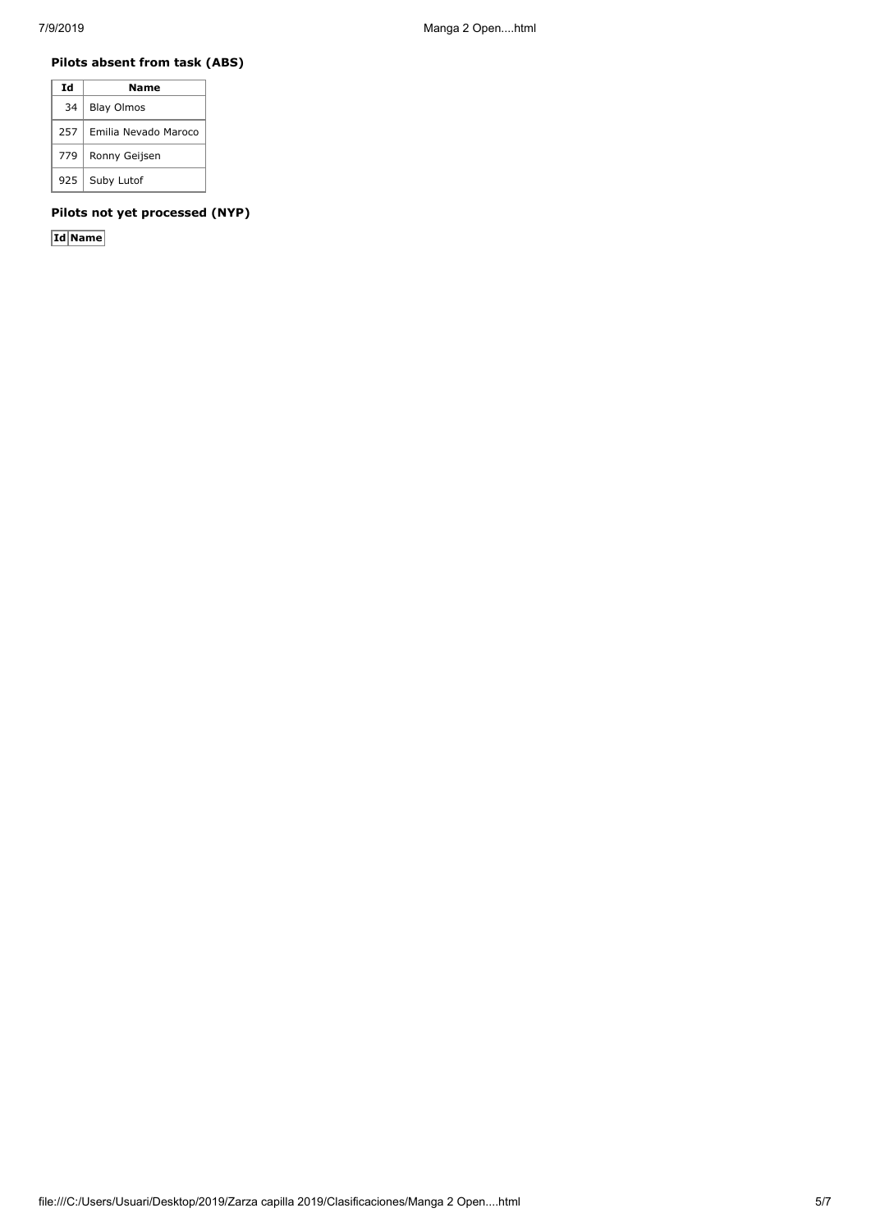## **Pilots absent from task (ABS)**

| Ιd  | Name                 |
|-----|----------------------|
| 34  | <b>Blay Olmos</b>    |
| 257 | Emilia Nevado Maroco |
| 779 | Ronny Geijsen        |
| 925 | Suby Lutof           |

## **Pilots not yet processed (NYP)**

**Id Name**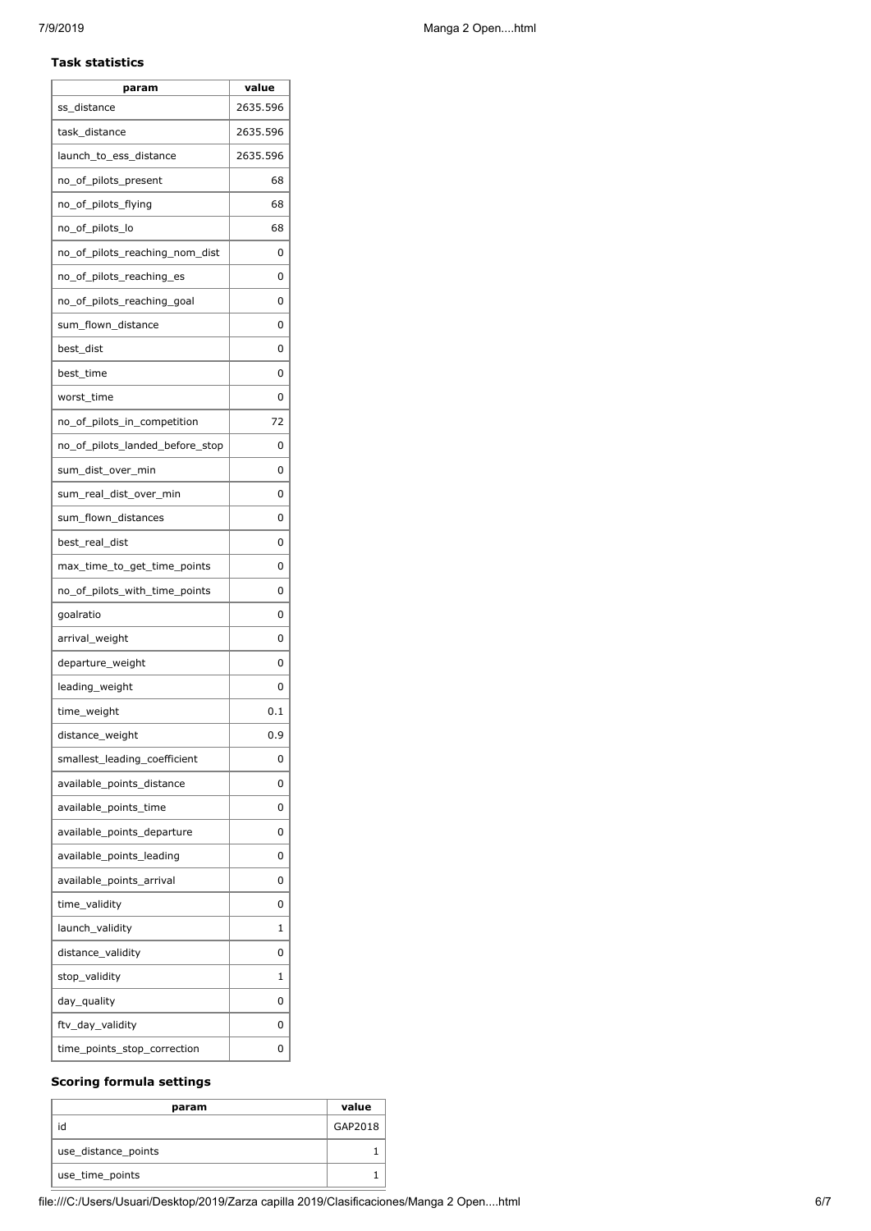Ï

| param                           | value    |
|---------------------------------|----------|
| ss_distance                     | 2635.596 |
| task distance                   | 2635.596 |
| launch_to_ess_distance          | 2635.596 |
| no_of_pilots_present            | 68       |
| no_of_pilots_flying             | 68       |
| no_of_pilots_lo                 | 68       |
| no of pilots reaching nom dist  | 0        |
| no_of_pilots_reaching_es        | 0        |
| no_of_pilots_reaching_goal      | 0        |
| sum_flown_distance              | 0        |
| best_dist                       | 0        |
| best_time                       | 0        |
| worst_time                      | 0        |
| no_of_pilots_in_competition     | 72       |
| no of pilots landed before stop | 0        |
| sum_dist_over_min               | 0        |
| sum_real_dist_over_min          | 0        |
| sum_flown_distances             | 0        |
| best_real_dist                  | 0        |
| max_time_to_get_time_points     | 0        |
| no_of_pilots_with_time_points   | 0        |
| goalratio                       | 0        |
| arrival_weight                  | 0        |
| departure_weight                | 0        |
| leading_weight                  | 0        |
| time_weight                     | 0.1      |
| distance_weight                 | 0.9      |
| smallest_leading_coefficient    | 0        |
| available points distance       | 0        |
| available_points_time           | 0        |
| available_points_departure      | 0        |
| available points leading        | 0        |
| available_points_arrival        | 0        |
| time validity                   | 0        |
| launch_validity                 | 1        |
| distance_validity               | 0        |
| stop_validity                   | 1        |
| day_quality                     | 0        |
| ftv_day_validity                | 0        |
| time_points_stop_correction     | 0        |

### **Scoring formula settings**

| param               | value   |
|---------------------|---------|
| id                  | GAP2018 |
| use_distance_points |         |
| use_time_points     |         |